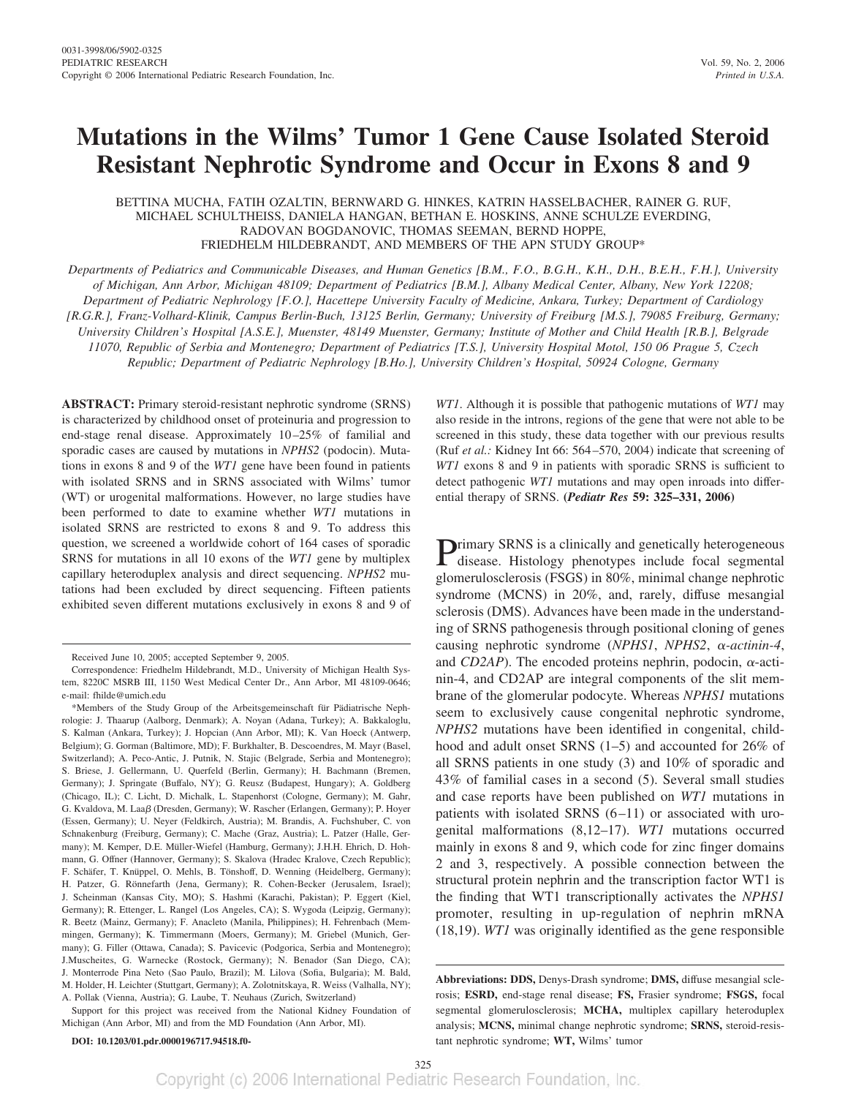# **Mutations in the Wilms' Tumor 1 Gene Cause Isolated Steroid Resistant Nephrotic Syndrome and Occur in Exons 8 and 9**

BETTINA MUCHA, FATIH OZALTIN, BERNWARD G. HINKES, KATRIN HASSELBACHER, RAINER G. RUF, MICHAEL SCHULTHEISS, DANIELA HANGAN, BETHAN E. HOSKINS, ANNE SCHULZE EVERDING, RADOVAN BOGDANOVIC, THOMAS SEEMAN, BERND HOPPE, FRIEDHELM HILDEBRANDT, AND MEMBERS OF THE APN STUDY GROUP\*

*Departments of Pediatrics and Communicable Diseases, and Human Genetics [B.M., F.O., B.G.H., K.H., D.H., B.E.H., F.H.], University of Michigan, Ann Arbor, Michigan 48109; Department of Pediatrics [B.M.], Albany Medical Center, Albany, New York 12208; Department of Pediatric Nephrology [F.O.], Hacettepe University Faculty of Medicine, Ankara, Turkey; Department of Cardiology [R.G.R.], Franz-Volhard-Klinik, Campus Berlin-Buch, 13125 Berlin, Germany; University of Freiburg [M.S.], 79085 Freiburg, Germany; University Children's Hospital [A.S.E.], Muenster, 48149 Muenster, Germany; Institute of Mother and Child Health [R.B.], Belgrade 11070, Republic of Serbia and Montenegro; Department of Pediatrics [T.S.], University Hospital Motol, 150 06 Prague 5, Czech Republic; Department of Pediatric Nephrology [B.Ho.], University Children's Hospital, 50924 Cologne, Germany*

**ABSTRACT:** Primary steroid-resistant nephrotic syndrome (SRNS) is characterized by childhood onset of proteinuria and progression to end-stage renal disease. Approximately 10–25% of familial and sporadic cases are caused by mutations in *NPHS2* (podocin). Mutations in exons 8 and 9 of the *WT1* gene have been found in patients with isolated SRNS and in SRNS associated with Wilms' tumor (WT) or urogenital malformations. However, no large studies have been performed to date to examine whether *WT1* mutations in isolated SRNS are restricted to exons 8 and 9. To address this question, we screened a worldwide cohort of 164 cases of sporadic SRNS for mutations in all 10 exons of the *WT1* gene by multiplex capillary heteroduplex analysis and direct sequencing. *NPHS2* mutations had been excluded by direct sequencing. Fifteen patients exhibited seven different mutations exclusively in exons 8 and 9 of *WT1*. Although it is possible that pathogenic mutations of *WT1* may also reside in the introns, regions of the gene that were not able to be screened in this study, these data together with our previous results (Ruf *et al.:* Kidney Int 66: 564–570, 2004) indicate that screening of *WT1* exons 8 and 9 in patients with sporadic SRNS is sufficient to detect pathogenic *WT1* mutations and may open inroads into differential therapy of SRNS. **(***Pediatr Res* **59: 325–331, 2006)**

Primary SRNS is a clinically and genetically heterogeneous<br>disease. Histology phenotypes include focal segmental glomerulosclerosis (FSGS) in 80%, minimal change nephrotic syndrome (MCNS) in 20%, and, rarely, diffuse mesangial sclerosis (DMS). Advances have been made in the understanding of SRNS pathogenesis through positional cloning of genes causing nephrotic syndrome (*NPHS1*, *NPHS2*, *α-actinin-4*, and *CD2AP*). The encoded proteins nephrin, podocin,  $\alpha$ -actinin-4, and CD2AP are integral components of the slit membrane of the glomerular podocyte. Whereas *NPHS1* mutations seem to exclusively cause congenital nephrotic syndrome, *NPHS2* mutations have been identified in congenital, childhood and adult onset SRNS (1–5) and accounted for 26% of all SRNS patients in one study (3) and 10% of sporadic and 43% of familial cases in a second (5). Several small studies and case reports have been published on *WT1* mutations in patients with isolated SRNS (6–11) or associated with urogenital malformations (8,12–17). *WT1* mutations occurred mainly in exons 8 and 9, which code for zinc finger domains 2 and 3, respectively. A possible connection between the structural protein nephrin and the transcription factor WT1 is the finding that WT1 transcriptionally activates the *NPHS1* promoter, resulting in up-regulation of nephrin mRNA (18,19). *WT1* was originally identified as the gene responsible

Received June 10, 2005; accepted September 9, 2005.

Correspondence: Friedhelm Hildebrandt, M.D., University of Michigan Health System, 8220C MSRB III, 1150 West Medical Center Dr., Ann Arbor, MI 48109-0646; e-mail: fhilde@umich.edu

<sup>\*</sup>Members of the Study Group of the Arbeitsgemeinschaft für Pädiatrische Nephrologie: J. Thaarup (Aalborg, Denmark); A. Noyan (Adana, Turkey); A. Bakkaloglu, S. Kalman (Ankara, Turkey); J. Hopcian (Ann Arbor, MI); K. Van Hoeck (Antwerp, Belgium); G. Gorman (Baltimore, MD); F. Burkhalter, B. Descoendres, M. Mayr (Basel, Switzerland); A. Peco-Antic, J. Putnik, N. Stajic (Belgrade, Serbia and Montenegro); S. Briese, J. Gellermann, U. Querfeld (Berlin, Germany); H. Bachmann (Bremen, Germany); J. Springate (Buffalo, NY); G. Reusz (Budapest, Hungary); A. Goldberg (Chicago, IL); C. Licht, D. Michalk, L. Stapenhorst (Cologne, Germany); M. Gahr, G. Kvaldova, M. Laaß (Dresden, Germany); W. Rascher (Erlangen, Germany); P. Hoyer (Essen, Germany); U. Neyer (Feldkirch, Austria); M. Brandis, A. Fuchshuber, C. von Schnakenburg (Freiburg, Germany); C. Mache (Graz, Austria); L. Patzer (Halle, Germany); M. Kemper, D.E. Müller-Wiefel (Hamburg, Germany); J.H.H. Ehrich, D. Hohmann, G. Offner (Hannover, Germany); S. Skalova (Hradec Kralove, Czech Republic); F. Schäfer, T. Knüppel, O. Mehls, B. Tönshoff, D. Wenning (Heidelberg, Germany); H. Patzer, G. Rönnefarth (Jena, Germany); R. Cohen-Becker (Jerusalem, Israel); J. Scheinman (Kansas City, MO); S. Hashmi (Karachi, Pakistan); P. Eggert (Kiel, Germany); R. Ettenger, L. Rangel (Los Angeles, CA); S. Wygoda (Leipzig, Germany); R. Beetz (Mainz, Germany); F. Anacleto (Manila, Philippines); H. Fehrenbach (Memmingen, Germany); K. Timmermann (Moers, Germany); M. Griebel (Munich, Germany); G. Filler (Ottawa, Canada); S. Pavicevic (Podgorica, Serbia and Montenegro); J.Muscheites, G. Warnecke (Rostock, Germany); N. Benador (San Diego, CA); J. Monterrode Pina Neto (Sao Paulo, Brazil); M. Lilova (Sofia, Bulgaria); M. Bald, M. Holder, H. Leichter (Stuttgart, Germany); A. Zolotnitskaya, R. Weiss (Valhalla, NY); A. Pollak (Vienna, Austria); G. Laube, T. Neuhaus (Zurich, Switzerland)

Support for this project was received from the National Kidney Foundation of Michigan (Ann Arbor, MI) and from the MD Foundation (Ann Arbor, MI).

**Abbreviations: DDS,** Denys-Drash syndrome; **DMS,** diffuse mesangial sclerosis; **ESRD,** end-stage renal disease; **FS,** Frasier syndrome; **FSGS,** focal segmental glomerulosclerosis; **MCHA,** multiplex capillary heteroduplex analysis; **MCNS,** minimal change nephrotic syndrome; **SRNS,** steroid-resistant nephrotic syndrome; **WT,** Wilms' tumor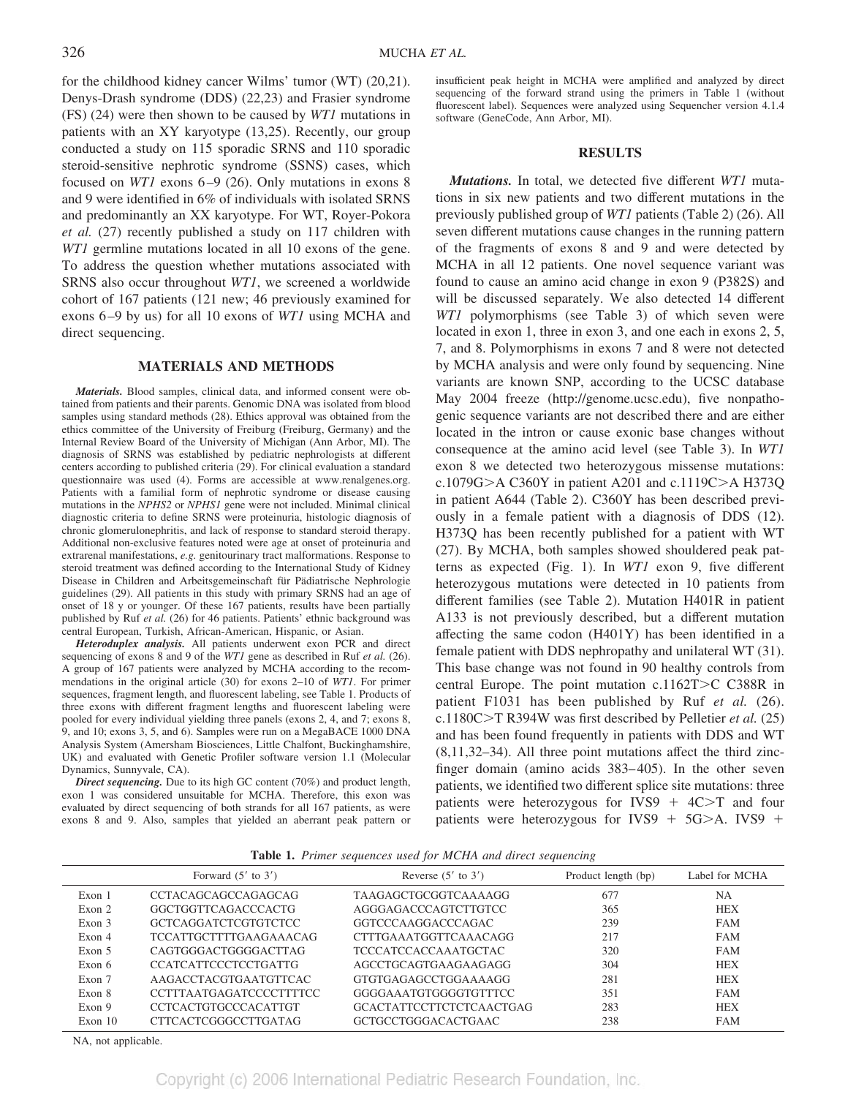for the childhood kidney cancer Wilms' tumor (WT) (20,21). Denys-Drash syndrome (DDS) (22,23) and Frasier syndrome (FS) (24) were then shown to be caused by *WT1* mutations in patients with an XY karyotype (13,25). Recently, our group conducted a study on 115 sporadic SRNS and 110 sporadic steroid-sensitive nephrotic syndrome (SSNS) cases, which focused on *WT1* exons 6–9 (26). Only mutations in exons 8 and 9 were identified in 6% of individuals with isolated SRNS and predominantly an XX karyotype. For WT, Royer-Pokora *et al.* (27) recently published a study on 117 children with *WT1* germline mutations located in all 10 exons of the gene. To address the question whether mutations associated with SRNS also occur throughout *WT1*, we screened a worldwide cohort of 167 patients (121 new; 46 previously examined for exons 6–9 by us) for all 10 exons of *WT1* using MCHA and direct sequencing.

## **MATERIALS AND METHODS**

*Materials.* Blood samples, clinical data, and informed consent were obtained from patients and their parents. Genomic DNA was isolated from blood samples using standard methods (28). Ethics approval was obtained from the ethics committee of the University of Freiburg (Freiburg, Germany) and the Internal Review Board of the University of Michigan (Ann Arbor, MI). The diagnosis of SRNS was established by pediatric nephrologists at different centers according to published criteria (29). For clinical evaluation a standard questionnaire was used (4). Forms are accessible at www.renalgenes.org. Patients with a familial form of nephrotic syndrome or disease causing mutations in the *NPHS2* or *NPHS1* gene were not included. Minimal clinical diagnostic criteria to define SRNS were proteinuria, histologic diagnosis of chronic glomerulonephritis, and lack of response to standard steroid therapy. Additional non-exclusive features noted were age at onset of proteinuria and extrarenal manifestations, *e.g.* genitourinary tract malformations. Response to steroid treatment was defined according to the International Study of Kidney Disease in Children and Arbeitsgemeinschaft für Pädiatrische Nephrologie guidelines (29). All patients in this study with primary SRNS had an age of onset of 18 y or younger. Of these 167 patients, results have been partially published by Ruf *et al.* (26) for 46 patients. Patients' ethnic background was central European, Turkish, African-American, Hispanic, or Asian.

*Heteroduplex analysis.* All patients underwent exon PCR and direct sequencing of exons 8 and 9 of the *WT1* gene as described in Ruf *et al.* (26). A group of 167 patients were analyzed by MCHA according to the recommendations in the original article (30) for exons 2–10 of *WT1*. For primer sequences, fragment length, and fluorescent labeling, see Table 1. Products of three exons with different fragment lengths and fluorescent labeling were pooled for every individual yielding three panels (exons 2, 4, and 7; exons 8, 9, and 10; exons 3, 5, and 6). Samples were run on a MegaBACE 1000 DNA Analysis System (Amersham Biosciences, Little Chalfont, Buckinghamshire, UK) and evaluated with Genetic Profiler software version 1.1 (Molecular Dynamics, Sunnyvale, CA).

*Direct sequencing.* Due to its high GC content (70%) and product length, exon 1 was considered unsuitable for MCHA. Therefore, this exon was evaluated by direct sequencing of both strands for all 167 patients, as were exons 8 and 9. Also, samples that yielded an aberrant peak pattern or

insufficient peak height in MCHA were amplified and analyzed by direct sequencing of the forward strand using the primers in Table 1 (without fluorescent label). Sequences were analyzed using Sequencher version 4.1.4 software (GeneCode, Ann Arbor, MI).

#### **RESULTS**

*Mutations.* In total, we detected five different *WT1* mutations in six new patients and two different mutations in the previously published group of *WT1* patients (Table 2) (26). All seven different mutations cause changes in the running pattern of the fragments of exons 8 and 9 and were detected by MCHA in all 12 patients. One novel sequence variant was found to cause an amino acid change in exon 9 (P382S) and will be discussed separately. We also detected 14 different *WT1* polymorphisms (see Table 3) of which seven were located in exon 1, three in exon 3, and one each in exons 2, 5, 7, and 8. Polymorphisms in exons 7 and 8 were not detected by MCHA analysis and were only found by sequencing. Nine variants are known SNP, according to the UCSC database May 2004 freeze (http://genome.ucsc.edu), five nonpathogenic sequence variants are not described there and are either located in the intron or cause exonic base changes without consequence at the amino acid level (see Table 3). In *WT1* exon 8 we detected two heterozygous missense mutations: c.1079G $>A C360Y$  in patient A201 and c.1119C $>A H373Q$ in patient A644 (Table 2). C360Y has been described previously in a female patient with a diagnosis of DDS (12). H373Q has been recently published for a patient with WT (27). By MCHA, both samples showed shouldered peak patterns as expected (Fig. 1). In *WT1* exon 9, five different heterozygous mutations were detected in 10 patients from different families (see Table 2). Mutation H401R in patient A133 is not previously described, but a different mutation affecting the same codon (H401Y) has been identified in a female patient with DDS nephropathy and unilateral WT (31). This base change was not found in 90 healthy controls from central Europe. The point mutation  $c.1162T>C$  C388R in patient F1031 has been published by Ruf *et al.* (26). c.1180C>T R394W was first described by Pelletier *et al.* (25) and has been found frequently in patients with DDS and WT (8,11,32–34). All three point mutations affect the third zincfinger domain (amino acids 383–405). In the other seven patients, we identified two different splice site mutations: three patients were heterozygous for IVS9  $+$  4C $\geq$ T and four patients were heterozygous for IVS9  $+$  5G $\geq$ A. IVS9  $+$ 

| Table 1. Primer sequences used for MCHA and direct sequencing |
|---------------------------------------------------------------|
|                                                               |

|         | Forward $(5'$ to $3')$         | Reverse $(5'$ to $3')$       | Product length (bp) | Label for MCHA |
|---------|--------------------------------|------------------------------|---------------------|----------------|
| Exon 1  | CCTACAGCAGCCAGAGCAG            | TAAGAGCTGCGGTCAAAAGG         | 677                 | NΑ             |
| Exon 2  | GGCTGGTTCAGACCCACTG            | AGGGAGACCCAGTCTTGTCC         | 365                 | <b>HEX</b>     |
| Exon 3  | <b>GCTCAGGATCTCGTGTCTCC</b>    | GGTCCCAAGGACCCAGAC           | 239                 | <b>FAM</b>     |
| Exon 4  | <b>TCCATTGCTTTTGAAGAAACAG</b>  | <b>CTTTGAAATGGTTCAAACAGG</b> | 217                 | <b>FAM</b>     |
| Exon 5  | CAGTGGGACTGGGGACTTAG           | TCCCATCCACCAAATGCTAC         | 320                 | <b>FAM</b>     |
| Exon 6  | <b>CCATCATTCCCTCCTGATTG</b>    | AGCCTGCAGTGAAGAAGAGG         | 304                 | <b>HEX</b>     |
| Exon 7  | AAGACCTACGTGAATGTTCAC          | GTGTGAGAGCCTGGAAAAGG         | 281                 | <b>HEX</b>     |
| Exon 8  | <b>CCTTTAATGAGATCCCCTTTTCC</b> | GGGGAAATGTGGGGTGTTTCC        | 351                 | <b>FAM</b>     |
| Exon 9  | <b>CCTCACTGTGCCCACATTGT</b>    | GCACTATTCCTTCTCTCAACTGAG     | 283                 | <b>HEX</b>     |
| Exon 10 | CTTCACTCGGGCCTTGATAG           | GCTGCCTGGGACACTGAAC          | 238                 | <b>FAM</b>     |

NA, not applicable.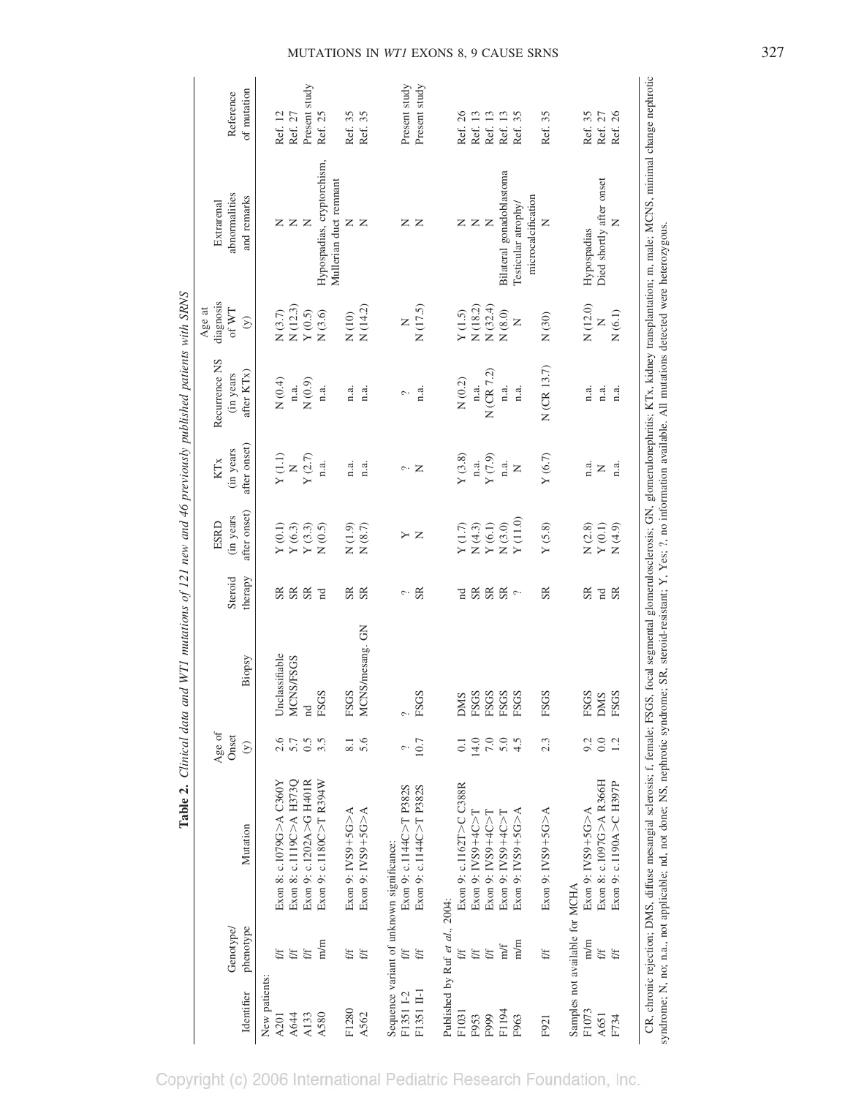|               |                                |                                                                                                                                                                                                            | Age of           |                      |                                   | ESRD                                                                                                                     | <b>KTx</b>                  | Recurrence NS             | diagnosis<br>Age at                                                          | Extrarenal                                           |               |
|---------------|--------------------------------|------------------------------------------------------------------------------------------------------------------------------------------------------------------------------------------------------------|------------------|----------------------|-----------------------------------|--------------------------------------------------------------------------------------------------------------------------|-----------------------------|---------------------------|------------------------------------------------------------------------------|------------------------------------------------------|---------------|
|               | Genotype/                      |                                                                                                                                                                                                            | Onset            |                      | Steroid                           | (in years                                                                                                                | (in years                   | (in years                 | of WT                                                                        | abnormalities                                        | Reference     |
| Identifier    | phenotype                      | Mutation                                                                                                                                                                                                   | $\odot$          | Biopsy               | therapy                           | after onset)                                                                                                             | after onset)                | after KTx)                | $\hat{\infty}$                                                               | and remarks                                          | of mutation   |
| New patients: |                                |                                                                                                                                                                                                            |                  |                      |                                   |                                                                                                                          |                             |                           |                                                                              |                                                      |               |
| A201          | ff                             | Exon 8: c.1079G>A C360Y                                                                                                                                                                                    | 2.6              | Unclassifiable       | SR                                |                                                                                                                          | Y(1.1)                      | N(0.4)                    |                                                                              |                                                      | Ref. 12       |
| A644          | f/f                            | Exon 8: c.1119C>A H373Q                                                                                                                                                                                    | $5.7$<br>0.5     | MCNS/FSGS            | S <sub>R</sub>                    | $\begin{array}{c} \mathtt{Y}\left( 0.1\right) \\ \mathtt{Y}\left( 6.3\right) \\ \mathtt{Y}\left( 3.3\right) \end{array}$ | $\mathsf{z}$                | n.a.                      |                                                                              | zz                                                   | Ref. 27       |
| A133          | f/f                            | Exon 9: c.1202A>G H401R                                                                                                                                                                                    |                  | nd                   | S <sub>R</sub>                    |                                                                                                                          | $\Upsilon\left( 2.7\right)$ | N(0.9)                    | $\begin{array}{c} \tt N\ (3.7) \\ \tt N\ (12.3) \\ \tt V\ (0.5) \end{array}$ | $\mathsf{z}$                                         | Present study |
| A580          | m/m                            | Exon 9: c.1180C>T R394W                                                                                                                                                                                    | $3.\overline{5}$ | <b>FSGS</b>          | $\mathbb{R}$                      | N(0.5)                                                                                                                   | n.a.                        | n.a.                      | $N(3.6)$                                                                     | Hypospadias, cryptorchism,<br>Mullerian duct remnant | Ref. 25       |
| F1280         | f/f                            | Exon 9: IVS9+5G>A                                                                                                                                                                                          | 8.1              | FSGS                 | $_{\rm SR}$                       | N(1.9)                                                                                                                   | n.a.                        | n.a.                      |                                                                              | z                                                    | Ref. 35       |
| A562          | f/f                            | Exon 9: IVS9+5G $>$ A                                                                                                                                                                                      | 5.6              | MCNS/mesang. GN      | SR                                | $N(8.7)$                                                                                                                 | n.a.                        | n.a.                      | $N(10)$<br>$N(14.2)$                                                         | $\mathbb{Z}$                                         | Ref. 35       |
|               |                                | Sequence variant of unknown significance:                                                                                                                                                                  |                  |                      |                                   |                                                                                                                          |                             |                           |                                                                              |                                                      |               |
| F1351 I-2     | f/f                            | Exon 9: c.1144C>T P382S                                                                                                                                                                                    |                  | $\ddot{\phantom{0}}$ | $\sim$                            | Y                                                                                                                        |                             | $\widehat{\phantom{m}}$ . | Z                                                                            |                                                      | Present study |
| F1351 II-1    | $\mathbf{f}/\mathbf{f}$        | Exon 9: c.1144C>T P382S                                                                                                                                                                                    | 10.7             | <b>FSGS</b>          | S <sub>R</sub>                    | $\mathbb Z$                                                                                                              | $\sim$ $\mathsf{z}$         | n.a.                      | N(17.5)                                                                      | zz                                                   | Present study |
|               | Published by Ruf et al., 2004: |                                                                                                                                                                                                            |                  |                      |                                   |                                                                                                                          |                             |                           |                                                                              |                                                      |               |
| F1031         | ۮ                              | Exon 9: c.1162T>C C388R                                                                                                                                                                                    | 0.1              | <b>DMS</b>           | $\mathbb{R}$                      | $\Upsilon$ (1.7)                                                                                                         | Y(3.8)                      | $N$ $(0.2)$               | Y(1.5)                                                                       | z                                                    | Ref. 26       |
| F953          | f/f                            | Exon 9: $INSS+4C>T$                                                                                                                                                                                        | 14.0             | FSGS                 | S <sub>R</sub>                    | N(4.3)                                                                                                                   | n.a.                        | n.a.                      |                                                                              | $\mathsf{z}$                                         | Ref. 13       |
| F999          | f/f                            | Exon 9: IVS9+4C>T                                                                                                                                                                                          | $7.0\,$          | <b>FSGS</b>          | S <sub>R</sub>                    | $\Upsilon\left( 6.1\right)$                                                                                              | $\Upsilon\left( 7.9\right)$ | N (CR 7.2)                | N(18.2)<br>N(32.4)                                                           | $\mathsf{z}$                                         | Ref. 13       |
| F1194         | m/f                            | Exon 9: IVS9+4C $>$ I                                                                                                                                                                                      | 5.0              | FSGS                 | S <sub>R</sub>                    | $N(3.0)$                                                                                                                 | n.a.                        | n.a.                      | $N(8.0)$                                                                     | Bilateral gonadoblastoma                             | Ref. 13       |
| F963          | m/m                            | Exon 9: IVS9+5G $>$ A                                                                                                                                                                                      | 4.5              | FSGS                 | $\mathbin{\widehat{\phantom{m}}}$ | $\Upsilon$ (11.0)                                                                                                        | $\mathsf{z}$                | n.a.                      | z                                                                            | Testicular atrophy/                                  | Ref. 35       |
|               |                                |                                                                                                                                                                                                            |                  |                      |                                   |                                                                                                                          |                             |                           |                                                                              | microcalcification                                   |               |
| F921          | f/f                            | Exon 9: IVS9+5G $>$ A                                                                                                                                                                                      | 2.3              | FSGS                 | SR                                | $\Upsilon\left( 5.8\right)$                                                                                              | $\Upsilon$ (6.7)            | $N$ (CR 13.7)             | N(30)                                                                        | z                                                    | Ref. 35       |
|               | Samples not available for MCHA |                                                                                                                                                                                                            |                  |                      |                                   |                                                                                                                          |                             |                           |                                                                              |                                                      |               |
| F1073         | m/m                            | Exon 9: IVS9+5G>A                                                                                                                                                                                          | 9.2              | FSGS                 | $_{\rm SR}$                       | $N(2.8)$                                                                                                                 | n.a.                        | n.a.                      | N(12.0)                                                                      | Hypospadias                                          | Ref. 35       |
| A651          | f/f                            | Exon 8: c.1097G>A R366H                                                                                                                                                                                    | 0.0              | <b>DMS</b>           | $\mathbb{R}$                      | $\Upsilon\left( 0.1\right)$                                                                                              | $\mathsf{z}$                | n.a.                      | Z                                                                            | Died shortly after onset                             | Ref. 27       |
| F734          | f/f                            | Exon 9: c.1190A>C H397P                                                                                                                                                                                    | 1.2              | <b>FSGS</b>          | S <sub>R</sub>                    | $N(4.9)$                                                                                                                 | n.a.                        | n.a.                      | N(6.1)                                                                       | Z                                                    | Ref. 26       |
|               |                                | CR, chronic rejection; DMS, diffuse mesangial sclerosis; f, female; FSGS, focal segmental glomerulosclerosis; GN, glomerulonephritis; KTx, kidney transplantation; m, male; MCNS, minimal change nephrotic |                  |                      |                                   |                                                                                                                          |                             |                           |                                                                              |                                                      |               |
|               |                                | syndrome; N, no; n.a., not applicable; nd, not done; NS, nephrotic syndrome; SR, steroid-resistant; Y, Yes; ?, no information available. All mutations detected were heterozygous.                         |                  |                      |                                   |                                                                                                                          |                             |                           |                                                                              |                                                      |               |

Copyright (c) 2006 International Pediatric Research Foundation, Inc.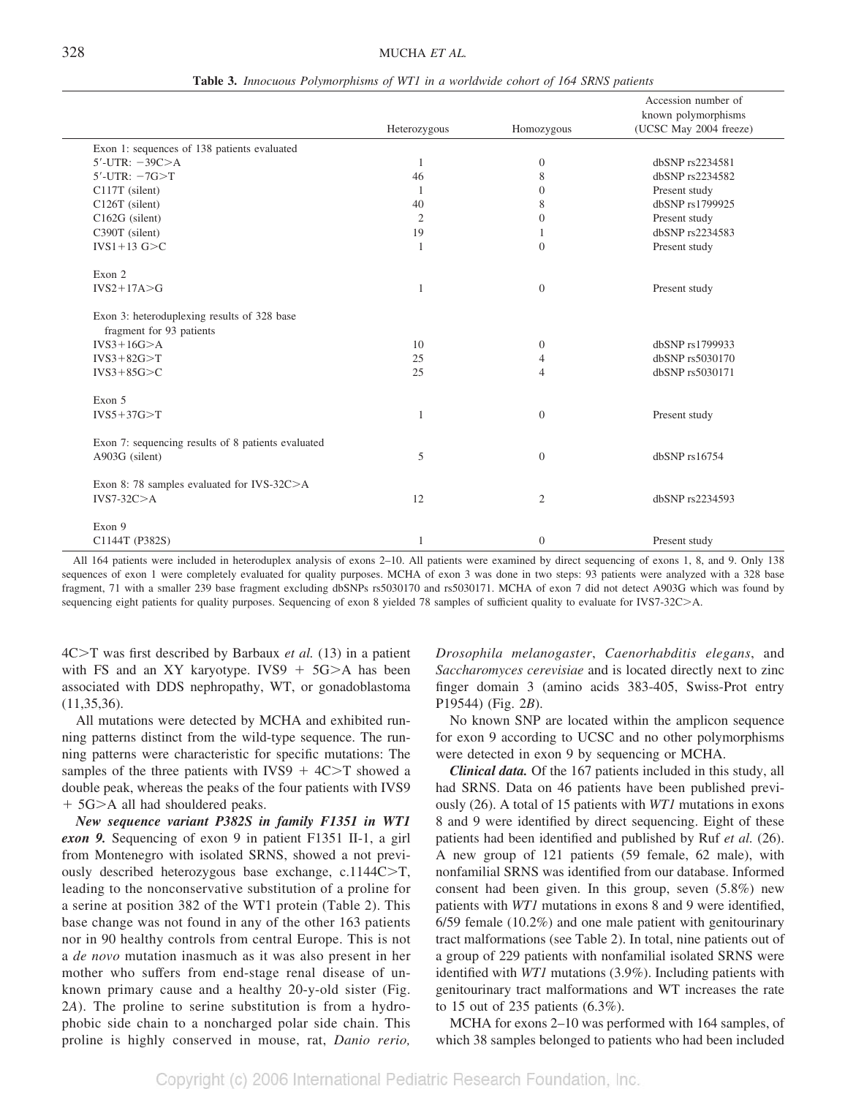|                                                                         | Heterozygous | Homozygous     | Accession number of<br>known polymorphisms<br>(UCSC May 2004 freeze) |
|-------------------------------------------------------------------------|--------------|----------------|----------------------------------------------------------------------|
| Exon 1: sequences of 138 patients evaluated                             |              |                |                                                                      |
| $5'$ -UTR: $-39C$ $>A$                                                  | 1            | $\overline{0}$ | dbSNP rs2234581                                                      |
| $5'$ -UTR: $-7G > T$                                                    | 46           | 8              | dbSNP rs2234582                                                      |
| C117T (silent)                                                          | $\mathbf{1}$ | $\mathbf{0}$   | Present study                                                        |
| C126T (silent)                                                          | 40           | 8              | dbSNP rs1799925                                                      |
| C162G (silent)                                                          | 2            | $\mathbf{0}$   | Present study                                                        |
| C390T (silent)                                                          | 19           |                | dbSNP rs2234583                                                      |
| $IVS1+13$ G $>C$                                                        | 1            | $\Omega$       | Present study                                                        |
| Exon 2                                                                  |              |                |                                                                      |
| $IVS2+17A>G$                                                            | 1            | $\overline{0}$ | Present study                                                        |
| Exon 3: heteroduplexing results of 328 base<br>fragment for 93 patients |              |                |                                                                      |
| $IVS3+16G>A$                                                            | 10           | $\overline{0}$ | dbSNP rs1799933                                                      |
| $IVS3+82G > T$                                                          | 25           | $\overline{4}$ | dbSNP rs5030170                                                      |
| $IVS3+85G > C$                                                          | 25           | $\overline{4}$ | dbSNP rs5030171                                                      |
| Exon 5                                                                  |              |                |                                                                      |
| $IVS5+37G>T$                                                            | 1            | $\overline{0}$ | Present study                                                        |
| Exon 7: sequencing results of 8 patients evaluated                      |              |                |                                                                      |
| A903G (silent)                                                          | 5            | $\Omega$       | dbSNP rs16754                                                        |
| Exon 8: 78 samples evaluated for IVS-32C>A<br>$IVS7-32C>A$              | 12           | $\overline{2}$ | dbSNP rs2234593                                                      |
| Exon 9<br>C1144T (P382S)                                                |              | $\overline{0}$ | Present study                                                        |

**Table 3.** *Innocuous Polymorphisms of WT1 in a worldwide cohort of 164 SRNS patients*

All 164 patients were included in heteroduplex analysis of exons 2–10. All patients were examined by direct sequencing of exons 1, 8, and 9. Only 138 sequences of exon 1 were completely evaluated for quality purposes. MCHA of exon 3 was done in two steps: 93 patients were analyzed with a 328 base fragment, 71 with a smaller 239 base fragment excluding dbSNPs rs5030170 and rs5030171. MCHA of exon 7 did not detect A903G which was found by sequencing eight patients for quality purposes. Sequencing of exon 8 yielded 78 samples of sufficient quality to evaluate for IVS7-32C>A.

4C>T was first described by Barbaux *et al.* (13) in a patient with FS and an XY karyotype. IVS9  $+$  5G $\geq$ A has been associated with DDS nephropathy, WT, or gonadoblastoma (11,35,36).

All mutations were detected by MCHA and exhibited running patterns distinct from the wild-type sequence. The running patterns were characteristic for specific mutations: The samples of the three patients with IVS9  $+$  4C $\geq$ T showed a double peak, whereas the peaks of the four patients with IVS9 + 5G>A all had shouldered peaks.

*New sequence variant P382S in family F1351 in WT1 exon 9.* Sequencing of exon 9 in patient F1351 II-1, a girl from Montenegro with isolated SRNS, showed a not previously described heterozygous base exchange,  $c.1144C>T$ , leading to the nonconservative substitution of a proline for a serine at position 382 of the WT1 protein (Table 2). This base change was not found in any of the other 163 patients nor in 90 healthy controls from central Europe. This is not a *de novo* mutation inasmuch as it was also present in her mother who suffers from end-stage renal disease of unknown primary cause and a healthy 20-y-old sister (Fig. 2*A*). The proline to serine substitution is from a hydrophobic side chain to a noncharged polar side chain. This proline is highly conserved in mouse, rat, *Danio rerio,*

*Drosophila melanogaster*, *Caenorhabditis elegans*, and *Saccharomyces cerevisiae* and is located directly next to zinc finger domain 3 (amino acids 383-405, Swiss-Prot entry P19544) (Fig. 2*B*).

No known SNP are located within the amplicon sequence for exon 9 according to UCSC and no other polymorphisms were detected in exon 9 by sequencing or MCHA.

*Clinical data.* Of the 167 patients included in this study, all had SRNS. Data on 46 patients have been published previously (26). A total of 15 patients with *WT1* mutations in exons 8 and 9 were identified by direct sequencing. Eight of these patients had been identified and published by Ruf *et al.* (26). A new group of 121 patients (59 female, 62 male), with nonfamilial SRNS was identified from our database. Informed consent had been given. In this group, seven (5.8%) new patients with *WT1* mutations in exons 8 and 9 were identified, 6/59 female (10.2%) and one male patient with genitourinary tract malformations (see Table 2). In total, nine patients out of a group of 229 patients with nonfamilial isolated SRNS were identified with *WT1* mutations (3.9%). Including patients with genitourinary tract malformations and WT increases the rate to 15 out of 235 patients (6.3%).

MCHA for exons 2–10 was performed with 164 samples, of which 38 samples belonged to patients who had been included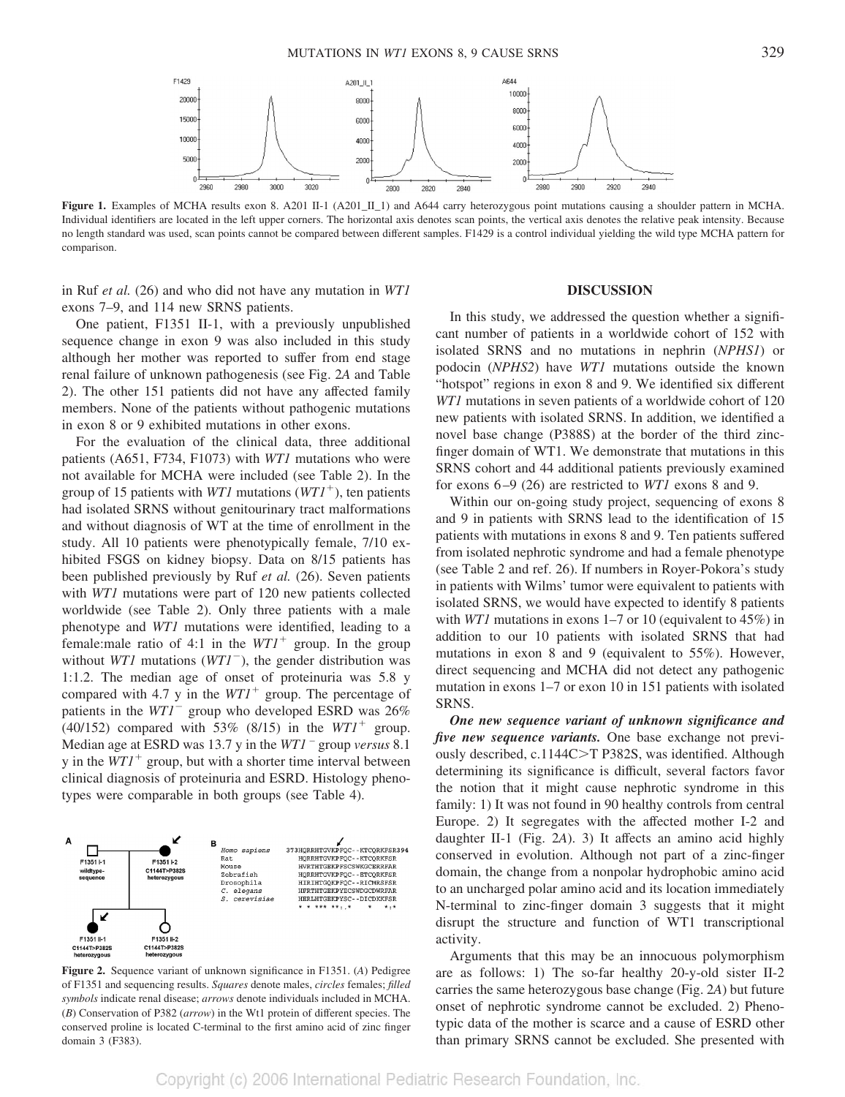

**Figure 1.** Examples of MCHA results exon 8. A201 II-1 (A201\_II\_1) and A644 carry heterozygous point mutations causing a shoulder pattern in MCHA. Individual identifiers are located in the left upper corners. The horizontal axis denotes scan points, the vertical axis denotes the relative peak intensity. Because no length standard was used, scan points cannot be compared between different samples. F1429 is a control individual yielding the wild type MCHA pattern for comparison.

in Ruf *et al.* (26) and who did not have any mutation in *WT1* exons 7–9, and 114 new SRNS patients.

One patient, F1351 II-1, with a previously unpublished sequence change in exon 9 was also included in this study although her mother was reported to suffer from end stage renal failure of unknown pathogenesis (see Fig. 2*A* and Table 2). The other 151 patients did not have any affected family members. None of the patients without pathogenic mutations in exon 8 or 9 exhibited mutations in other exons.

For the evaluation of the clinical data, three additional patients (A651, F734, F1073) with *WT1* mutations who were not available for MCHA were included (see Table 2). In the group of 15 patients with *WT1* mutations (*WT1*-), ten patients had isolated SRNS without genitourinary tract malformations and without diagnosis of WT at the time of enrollment in the study. All 10 patients were phenotypically female, 7/10 exhibited FSGS on kidney biopsy. Data on 8/15 patients has been published previously by Ruf *et al.* (26). Seven patients with *WT1* mutations were part of 120 new patients collected worldwide (see Table 2). Only three patients with a male phenotype and *WT1* mutations were identified, leading to a female:male ratio of 4:1 in the  $WT1<sup>+</sup>$  group. In the group without *WT1* mutations (*WT1*<sup>-</sup>), the gender distribution was 1:1.2. The median age of onset of proteinuria was 5.8 y compared with 4.7 y in the  $WT1^+$  group. The percentage of patients in the *WT1*<sup>-</sup> group who developed ESRD was 26%  $(40/152)$  compared with 53%  $(8/15)$  in the  $WT1<sup>+</sup>$  group. Median age at ESRD was 13.7 y in the *WT1* – group *versus* 8.1  $y$  in the  $WT1<sup>+</sup>$  group, but with a shorter time interval between clinical diagnosis of proteinuria and ESRD. Histology phenotypes were comparable in both groups (see Table 4).



**Figure 2.** Sequence variant of unknown significance in F1351. (*A*) Pedigree of F1351 and sequencing results. *Squares* denote males, *circles* females; *filled symbols* indicate renal disease; *arrows* denote individuals included in MCHA. (*B*) Conservation of P382 (*arrow*) in the Wt1 protein of different species. The conserved proline is located C-terminal to the first amino acid of zinc finger domain 3 (F383).

## **DISCUSSION**

In this study, we addressed the question whether a significant number of patients in a worldwide cohort of 152 with isolated SRNS and no mutations in nephrin (*NPHS1*) or podocin (*NPHS2*) have *WT1* mutations outside the known "hotspot" regions in exon 8 and 9. We identified six different *WT1* mutations in seven patients of a worldwide cohort of 120 new patients with isolated SRNS. In addition, we identified a novel base change (P388S) at the border of the third zincfinger domain of WT1. We demonstrate that mutations in this SRNS cohort and 44 additional patients previously examined for exons 6–9 (26) are restricted to *WT1* exons 8 and 9.

Within our on-going study project, sequencing of exons 8 and 9 in patients with SRNS lead to the identification of 15 patients with mutations in exons 8 and 9. Ten patients suffered from isolated nephrotic syndrome and had a female phenotype (see Table 2 and ref. 26). If numbers in Royer-Pokora's study in patients with Wilms' tumor were equivalent to patients with isolated SRNS, we would have expected to identify 8 patients with *WT1* mutations in exons 1–7 or 10 (equivalent to 45%) in addition to our 10 patients with isolated SRNS that had mutations in exon 8 and 9 (equivalent to 55%). However, direct sequencing and MCHA did not detect any pathogenic mutation in exons 1–7 or exon 10 in 151 patients with isolated SRNS.

*One new sequence variant of unknown significance and five new sequence variants.* One base exchange not previously described, c.1144C>T P382S, was identified. Although determining its significance is difficult, several factors favor the notion that it might cause nephrotic syndrome in this family: 1) It was not found in 90 healthy controls from central Europe. 2) It segregates with the affected mother I-2 and daughter II-1 (Fig. 2*A*). 3) It affects an amino acid highly conserved in evolution. Although not part of a zinc-finger domain, the change from a nonpolar hydrophobic amino acid to an uncharged polar amino acid and its location immediately N-terminal to zinc-finger domain 3 suggests that it might disrupt the structure and function of WT1 transcriptional activity.

Arguments that this may be an innocuous polymorphism are as follows: 1) The so-far healthy 20-y-old sister II-2 carries the same heterozygous base change (Fig. 2*A*) but future onset of nephrotic syndrome cannot be excluded. 2) Phenotypic data of the mother is scarce and a cause of ESRD other than primary SRNS cannot be excluded. She presented with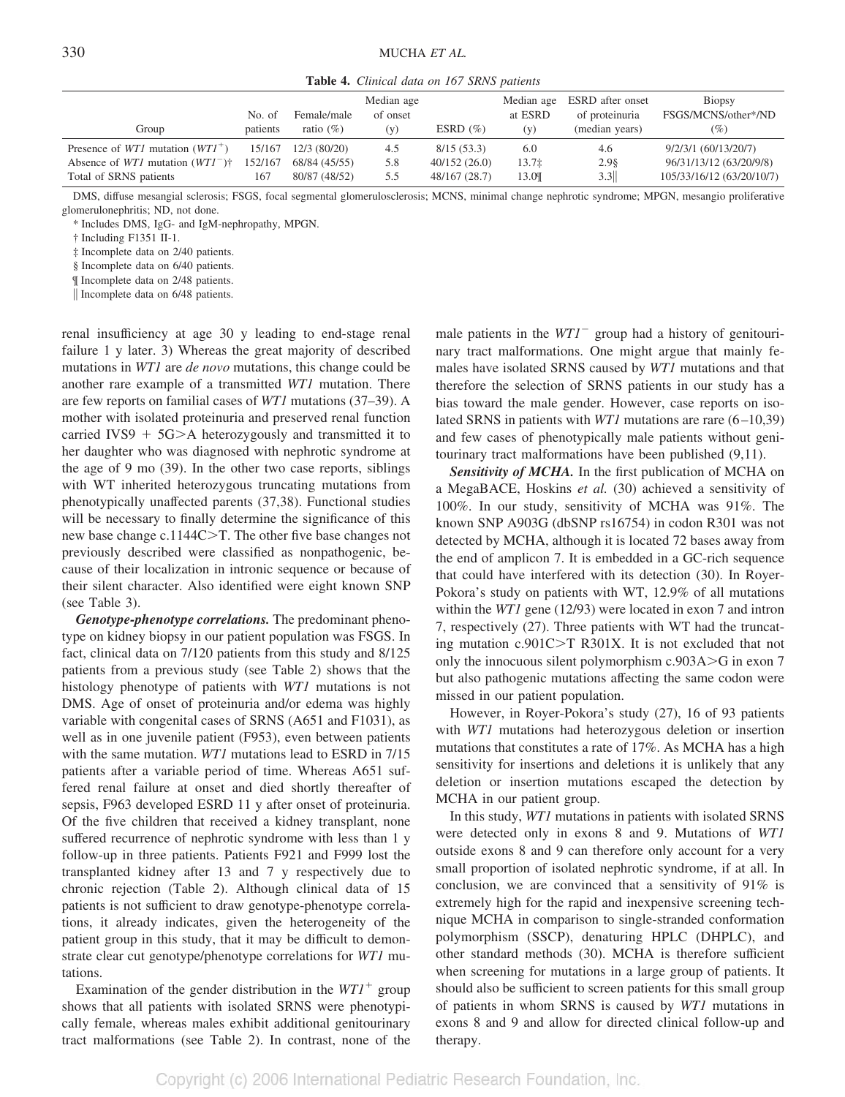**Table 4.** *Clinical data on 167 SRNS patients*

| Group                                             | No. of<br>patients | Female/male<br>ratio $(\%)$ | Median age<br>of onset<br>(y) | ESRD $(\%)$   | Median age<br>at ESRD<br>(y) | ESRD after onset<br>of proteinuria<br>(median years) | Biopsy<br>FSGS/MCNS/other*/ND<br>(%) |
|---------------------------------------------------|--------------------|-----------------------------|-------------------------------|---------------|------------------------------|------------------------------------------------------|--------------------------------------|
| Presence of <i>WT1</i> mutation $(WTI^+)$         | 15/167             | 12/3(80/20)                 | 4.5                           | 8/15(53.3)    | 6.0                          | 4.6                                                  | 9/2/3/1 (60/13/20/7)                 |
| Absence of <i>WT1</i> mutation $(WTI^{-})\dagger$ | 152/167            | 68/84 (45/55)               | 5.8                           | 40/152(26.0)  | 13.7 <sub>‡</sub>            | 2.98                                                 | 96/31/13/12 (63/20/9/8)              |
| Total of SRNS patients                            | 167                | 80/87 (48/52)               | 5.5                           | 48/167 (28.7) | 13.0 <sub>T</sub>            | 3.3                                                  | 105/33/16/12 (63/20/10/7)            |

DMS, diffuse mesangial sclerosis; FSGS, focal segmental glomerulosclerosis; MCNS, minimal change nephrotic syndrome; MPGN, mesangio proliferative glomerulonephritis; ND, not done.

\* Includes DMS, IgG- and IgM-nephropathy, MPGN.

† Including F1351 II-1.

‡ Incomplete data on 2/40 patients.

§ Incomplete data on 6/40 patients.

¶ Incomplete data on 2/48 patients.

|| Incomplete data on 6/48 patients.

renal insufficiency at age 30 y leading to end-stage renal failure 1 y later. 3) Whereas the great majority of described mutations in *WT1* are *de novo* mutations, this change could be another rare example of a transmitted *WT1* mutation. There are few reports on familial cases of *WT1* mutations (37–39). A mother with isolated proteinuria and preserved renal function carried IVS9  $+$  5G $\geq$ A heterozygously and transmitted it to her daughter who was diagnosed with nephrotic syndrome at the age of 9 mo (39). In the other two case reports, siblings with WT inherited heterozygous truncating mutations from phenotypically unaffected parents (37,38). Functional studies will be necessary to finally determine the significance of this new base change c.1144 $C>T$ . The other five base changes not previously described were classified as nonpathogenic, because of their localization in intronic sequence or because of their silent character. Also identified were eight known SNP (see Table 3).

*Genotype-phenotype correlations.* The predominant phenotype on kidney biopsy in our patient population was FSGS. In fact, clinical data on 7/120 patients from this study and 8/125 patients from a previous study (see Table 2) shows that the histology phenotype of patients with *WT1* mutations is not DMS. Age of onset of proteinuria and/or edema was highly variable with congenital cases of SRNS (A651 and F1031), as well as in one juvenile patient (F953), even between patients with the same mutation. *WT1* mutations lead to ESRD in 7/15 patients after a variable period of time. Whereas A651 suffered renal failure at onset and died shortly thereafter of sepsis, F963 developed ESRD 11 y after onset of proteinuria. Of the five children that received a kidney transplant, none suffered recurrence of nephrotic syndrome with less than 1 y follow-up in three patients. Patients F921 and F999 lost the transplanted kidney after 13 and 7 y respectively due to chronic rejection (Table 2). Although clinical data of 15 patients is not sufficient to draw genotype-phenotype correlations, it already indicates, given the heterogeneity of the patient group in this study, that it may be difficult to demonstrate clear cut genotype/phenotype correlations for *WT1* mutations.

Examination of the gender distribution in the  $WT1^+$  group shows that all patients with isolated SRNS were phenotypically female, whereas males exhibit additional genitourinary tract malformations (see Table 2). In contrast, none of the

male patients in the *WT1*<sup>-</sup> group had a history of genitourinary tract malformations. One might argue that mainly females have isolated SRNS caused by *WT1* mutations and that therefore the selection of SRNS patients in our study has a bias toward the male gender. However, case reports on isolated SRNS in patients with *WT1* mutations are rare (6–10,39) and few cases of phenotypically male patients without genitourinary tract malformations have been published (9,11).

*Sensitivity of MCHA.* In the first publication of MCHA on a MegaBACE, Hoskins *et al.* (30) achieved a sensitivity of 100%. In our study, sensitivity of MCHA was 91%. The known SNP A903G (dbSNP rs16754) in codon R301 was not detected by MCHA, although it is located 72 bases away from the end of amplicon 7. It is embedded in a GC-rich sequence that could have interfered with its detection (30). In Royer-Pokora's study on patients with WT, 12.9% of all mutations within the *WT1* gene (12/93) were located in exon 7 and intron 7, respectively (27). Three patients with WT had the truncating mutation  $c.901C > T$  R301X. It is not excluded that not only the innocuous silent polymorphism  $c.903A > G$  in exon 7 but also pathogenic mutations affecting the same codon were missed in our patient population.

However, in Royer-Pokora's study (27), 16 of 93 patients with *WT1* mutations had heterozygous deletion or insertion mutations that constitutes a rate of 17%. As MCHA has a high sensitivity for insertions and deletions it is unlikely that any deletion or insertion mutations escaped the detection by MCHA in our patient group.

In this study, *WT1* mutations in patients with isolated SRNS were detected only in exons 8 and 9. Mutations of *WT1* outside exons 8 and 9 can therefore only account for a very small proportion of isolated nephrotic syndrome, if at all. In conclusion, we are convinced that a sensitivity of 91% is extremely high for the rapid and inexpensive screening technique MCHA in comparison to single-stranded conformation polymorphism (SSCP), denaturing HPLC (DHPLC), and other standard methods (30). MCHA is therefore sufficient when screening for mutations in a large group of patients. It should also be sufficient to screen patients for this small group of patients in whom SRNS is caused by *WT1* mutations in exons 8 and 9 and allow for directed clinical follow-up and therapy.